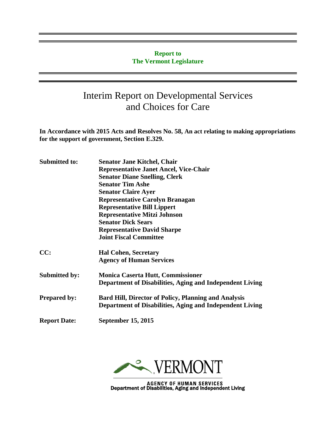#### **Report to The Vermont Legislature**

# Interim Report on Developmental Services and Choices for Care

**In Accordance with 2015 Acts and Resolves No. 58, An act relating to making appropriations for the support of government, Section E.329.**

| <b>Submitted to:</b> | <b>Senator Jane Kitchel, Chair</b><br><b>Representative Janet Ancel, Vice-Chair</b> |
|----------------------|-------------------------------------------------------------------------------------|
|                      | <b>Senator Diane Snelling, Clerk</b>                                                |
|                      | <b>Senator Tim Ashe</b>                                                             |
|                      | <b>Senator Claire Ayer</b>                                                          |
|                      | <b>Representative Carolyn Branagan</b>                                              |
|                      | <b>Representative Bill Lippert</b>                                                  |
|                      | <b>Representative Mitzi Johnson</b>                                                 |
|                      | <b>Senator Dick Sears</b>                                                           |
|                      | <b>Representative David Sharpe</b>                                                  |
|                      | <b>Joint Fiscal Committee</b>                                                       |
| CC:                  | <b>Hal Cohen, Secretary</b>                                                         |
|                      | <b>Agency of Human Services</b>                                                     |
| <b>Submitted by:</b> | <b>Monica Caserta Hutt, Commissioner</b>                                            |
|                      | Department of Disabilities, Aging and Independent Living                            |
| <b>Prepared by:</b>  | <b>Bard Hill, Director of Policy, Planning and Analysis</b>                         |
|                      | Department of Disabilities, Aging and Independent Living                            |
| <b>Report Date:</b>  | <b>September 15, 2015</b>                                                           |
|                      |                                                                                     |



AGENCY OF HUMAN SERVICES<br>Department of Disabilities, Aging and Independent Living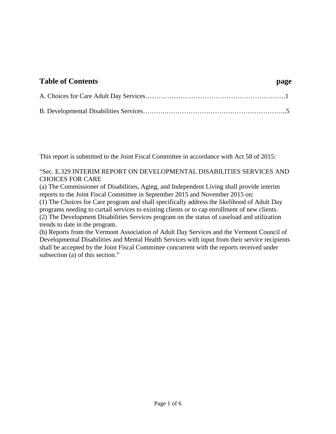#### **Table of Contents page**

This report is submitted to the Joint Fiscal Committee in accordance with Act 58 of 2015:

#### "Sec. E.329 INTERIM REPORT ON DEVELOPMENTAL DISABILITIES SERVICES AND CHOICES FOR CARE

(a) The Commissioner of Disabilities, Aging, and Independent Living shall provide interim reports to the Joint Fiscal Committee in September 2015 and November 2015 on:

(1) The Choices for Care program and shall specifically address the likelihood of Adult Day programs needing to curtail services to existing clients or to cap enrollment of new clients. (2) The Development Disabilities Services program on the status of caseload and utilization trends to date in the program.

(b) Reports from the Vermont Association of Adult Day Services and the Vermont Council of Developmental Disabilities and Mental Health Services with input from their service recipients shall be accepted by the Joint Fiscal Committee concurrent with the reports received under subsection (a) of this section."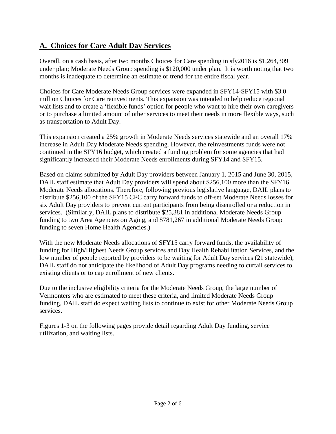#### **A. Choices for Care Adult Day Services**

Overall, on a cash basis, after two months Choices for Care spending in sfy2016 is \$1,264,309 under plan; Moderate Needs Group spending is \$120,000 under plan. It is worth noting that two months is inadequate to determine an estimate or trend for the entire fiscal year.

Choices for Care Moderate Needs Group services were expanded in SFY14-SFY15 with \$3.0 million Choices for Care reinvestments. This expansion was intended to help reduce regional wait lists and to create a 'flexible funds' option for people who want to hire their own caregivers or to purchase a limited amount of other services to meet their needs in more flexible ways, such as transportation to Adult Day.

This expansion created a 25% growth in Moderate Needs services statewide and an overall 17% increase in Adult Day Moderate Needs spending. However, the reinvestments funds were not continued in the SFY16 budget, which created a funding problem for some agencies that had significantly increased their Moderate Needs enrollments during SFY14 and SFY15.

Based on claims submitted by Adult Day providers between January 1, 2015 and June 30, 2015, DAIL staff estimate that Adult Day providers will spend about \$256,100 more than the SFY16 Moderate Needs allocations. Therefore, following previous legislative language, DAIL plans to distribute \$256,100 of the SFY15 CFC carry forward funds to off-set Moderate Needs losses for six Adult Day providers to prevent current participants from being disenrolled or a reduction in services. (Similarly, DAIL plans to distribute \$25,381 in additional Moderate Needs Group funding to two Area Agencies on Aging, and \$781,267 in additional Moderate Needs Group funding to seven Home Health Agencies.)

With the new Moderate Needs allocations of SFY15 carry forward funds, the availability of funding for High/Highest Needs Group services and Day Health Rehabilitation Services, and the low number of people reported by providers to be waiting for Adult Day services (21 statewide), DAIL staff do not anticipate the likelihood of Adult Day programs needing to curtail services to existing clients or to cap enrollment of new clients.

Due to the inclusive eligibility criteria for the Moderate Needs Group, the large number of Vermonters who are estimated to meet these criteria, and limited Moderate Needs Group funding, DAIL staff do expect waiting lists to continue to exist for other Moderate Needs Group services.

Figures 1-3 on the following pages provide detail regarding Adult Day funding, service utilization, and waiting lists.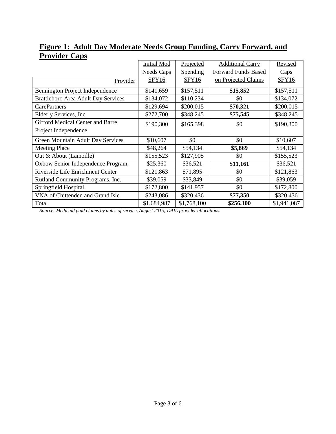|                                            | <b>Initial Mod</b> | Projected   | <b>Additional Carry</b>    | Revised     |
|--------------------------------------------|--------------------|-------------|----------------------------|-------------|
|                                            | <b>Needs Caps</b>  | Spending    | <b>Forward Funds Based</b> | Caps        |
| Provider                                   | <b>SFY16</b>       | SFY16       | on Projected Claims        | SFY16       |
| Bennington Project Independence            | \$141,659          | \$157,511   | \$15,852                   | \$157,511   |
| <b>Brattleboro Area Adult Day Services</b> | \$134,072          | \$110,234   | \$0                        | \$134,072   |
| <b>CarePartners</b>                        | \$129,694          | \$200,015   | \$70,321                   | \$200,015   |
| Elderly Services, Inc.                     | \$272,700          | \$348,245   | \$75,545                   | \$348,245   |
| <b>Gifford Medical Center and Barre</b>    | \$190,300          | \$165,398   | \$0                        | \$190,300   |
| Project Independence                       |                    |             |                            |             |
| <b>Green Mountain Adult Day Services</b>   | \$10,607           | \$0         | \$0                        | \$10,607    |
| <b>Meeting Place</b>                       | \$48,264           | \$54,134    | \$5,869                    | \$54,134    |
| Out & About (Lamoille)                     | \$155,523          | \$127,905   | \$0                        | \$155,523   |
| Oxbow Senior Independence Program,         | \$25,360           | \$36,521    | \$11,161                   | \$36,521    |
| Riverside Life Enrichment Center           | \$121,863          | \$71,895    | \$0                        | \$121,863   |
| Rutland Community Programs, Inc.           | \$39,059           | \$33,849    | \$0                        | \$39,059    |
| Springfield Hospital                       | \$172,800          | \$141,957   | \$0                        | \$172,800   |
| VNA of Chittenden and Grand Isle           | \$243,086          | \$320,436   | \$77,350                   | \$320,436   |
| Total                                      | \$1,684,987        | \$1,768,100 | \$256,100                  | \$1,941,087 |

### **Figure 1: Adult Day Moderate Needs Group Funding, Carry Forward, and Provider Caps**

*Source: Medicaid paid claims by dates of service, August 2015; DAIL provider allocations.*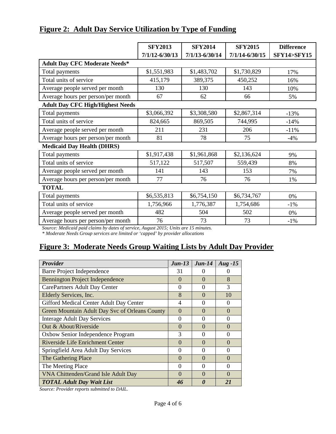|                                                                                                                                                                                                                                                                                                                                                         | <b>SFY2013</b>     | <b>SFY2014</b>     | <b>SFY2015</b>     | <b>Difference</b>     |
|---------------------------------------------------------------------------------------------------------------------------------------------------------------------------------------------------------------------------------------------------------------------------------------------------------------------------------------------------------|--------------------|--------------------|--------------------|-----------------------|
|                                                                                                                                                                                                                                                                                                                                                         | $7/1/12 - 6/30/13$ | $7/1/13 - 6/30/14$ | $7/1/14 - 6/30/15$ | <b>SFY14&gt;SFY15</b> |
| <b>Adult Day CFC Moderate Needs*</b>                                                                                                                                                                                                                                                                                                                    |                    |                    |                    |                       |
| Total payments                                                                                                                                                                                                                                                                                                                                          | \$1,551,983        | \$1,483,702        | \$1,730,829        | 17%                   |
| Total units of service                                                                                                                                                                                                                                                                                                                                  | 415,179            | 389,375            | 450,252            | 16%                   |
| Average people served per month                                                                                                                                                                                                                                                                                                                         | 130                | 130                | 143                | 10%                   |
| Average hours per person/per month                                                                                                                                                                                                                                                                                                                      | 67                 | 62                 | 66                 | 5%                    |
| <b>Adult Day CFC High/Highest Needs</b>                                                                                                                                                                                                                                                                                                                 |                    |                    |                    |                       |
| Total payments                                                                                                                                                                                                                                                                                                                                          | \$3,066,392        | \$3,308,580        | \$2,867,314        | $-13%$                |
| Total units of service                                                                                                                                                                                                                                                                                                                                  | 824,665            | 869,505            | 744,995            | $-14%$                |
| Average people served per month                                                                                                                                                                                                                                                                                                                         | 211                | 231                | 206                | $-11%$                |
| Average hours per person/per month                                                                                                                                                                                                                                                                                                                      | 81                 | 78                 | 75                 | $-4%$                 |
| <b>Medicaid Day Health (DHRS)</b>                                                                                                                                                                                                                                                                                                                       |                    |                    |                    |                       |
| Total payments                                                                                                                                                                                                                                                                                                                                          | \$1,917,438        | \$1,961,868        | \$2,136,624        | 9%                    |
| Total units of service                                                                                                                                                                                                                                                                                                                                  | 517,122            | 517,507            | 559,439            | 8%                    |
| Average people served per month                                                                                                                                                                                                                                                                                                                         | 141                | 143                | 153                | 7%                    |
| Average hours per person/per month                                                                                                                                                                                                                                                                                                                      | 77                 | 76                 | 76                 | 1%                    |
| <b>TOTAL</b>                                                                                                                                                                                                                                                                                                                                            |                    |                    |                    |                       |
| Total payments                                                                                                                                                                                                                                                                                                                                          | \$6,535,813        | \$6,754,150        | \$6,734,767        | 0%                    |
| Total units of service                                                                                                                                                                                                                                                                                                                                  | 1,756,966          | 1,776,387          | 1,754,686          | $-1\%$                |
| Average people served per month                                                                                                                                                                                                                                                                                                                         | 482                | 504                | 502                | 0%                    |
| Average hours per person/per month<br>$\mathcal{G}$ and $\mathcal{M}$ and $\mathcal{I}$ and $\mathcal{I}$ and $\mathcal{I}$ and $\mathcal{I}$ and $\mathcal{I}$ and $\mathcal{I}$ and $\mathcal{I}$ and $\mathcal{I}$ and $\mathcal{I}$ and $\mathcal{I}$ and $\mathcal{I}$ and $\mathcal{I}$ and $\mathcal{I}$ and $\mathcal{I}$ and $\mathcal{I}$ and | 76                 | 73<br>151          | 73                 | $-1%$                 |

#### **Figure 2: Adult Day Service Utilization by Type of Funding**

*Source: Medicaid paid claims by dates of service, August 2015; Units are 15 minutes.*

*\* Moderate Needs Group services are limited or 'capped' by provider allocations*

### **Figure 3: Moderate Needs Group Waiting Lists by Adult Day Provider**

| Provider                                       | $Jun-13$ | $Jun-14$ | $Aug - 15$        |
|------------------------------------------------|----------|----------|-------------------|
| Barre Project Independence                     | 31       |          |                   |
| <b>Bennington Project Independence</b>         | $\Omega$ | $\Omega$ | 8                 |
| CarePartners Adult Day Center                  | $\Omega$ | 0        | 3                 |
| Elderly Services, Inc.                         | 8        | $\Omega$ | 10                |
| Gifford Medical Center Adult Day Center        | 4        | $\Omega$ | $\Omega$          |
| Green Mountain Adult Day Svc of Orleans County | $\Omega$ | $\Omega$ | $\Omega$          |
| <b>Interage Adult Day Services</b>             | $\Omega$ | 0        | $\Omega$          |
| Out & About/Riverside                          | $\Omega$ | $\Omega$ | 0                 |
| Oxbow Senior Independence Program              | 3        | $\Omega$ | 0                 |
| Riverside Life Enrichment Center               | $\Omega$ | $\Omega$ | $\Omega$          |
| Springfield Area Adult Day Services            | 0        | 0        | 0                 |
| The Gathering Place                            | $\Omega$ | $\Omega$ | $\Omega$          |
| The Meeting Place                              | 0        | $\Omega$ | $\Omega$          |
| VNA Chittenden/Grand Isle Adult Day            | $\Omega$ | $\Omega$ | $\mathbf{\Omega}$ |
| <b>TOTAL Adult Day Wait List</b>               | 46       | $\theta$ | 21                |

*Source: Provider reports submitted to DAIL.*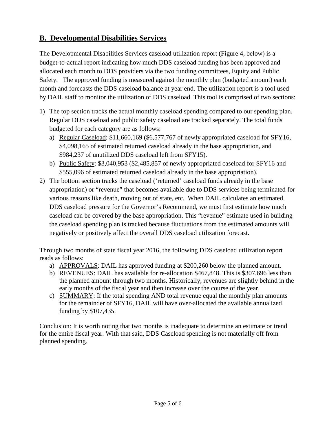### **B. Developmental Disabilities Services**

The Developmental Disabilities Services caseload utilization report (Figure 4, below) is a budget-to-actual report indicating how much DDS caseload funding has been approved and allocated each month to DDS providers via the two funding committees, Equity and Public Safety. The approved funding is measured against the monthly plan (budgeted amount) each month and forecasts the DDS caseload balance at year end. The utilization report is a tool used by DAIL staff to monitor the utilization of DDS caseload. This tool is comprised of two sections:

- 1) The top section tracks the actual monthly caseload spending compared to our spending plan. Regular DDS caseload and public safety caseload are tracked separately. The total funds budgeted for each category are as follows:
	- a) Regular Caseload: \$11,660,169 (\$6,577,767 of newly appropriated caseload for SFY16, \$4,098,165 of estimated returned caseload already in the base appropriation, and \$984,237 of unutilized DDS caseload left from SFY15).
	- b) Public Safety: \$3,040,953 (\$2,485,857 of newly appropriated caseload for SFY16 and \$555,096 of estimated returned caseload already in the base appropriation).
- 2) The bottom section tracks the caseload ('returned' caseload funds already in the base appropriation) or "revenue" that becomes available due to DDS services being terminated for various reasons like death, moving out of state, etc. When DAIL calculates an estimated DDS caseload pressure for the Governor's Recommend, we must first estimate how much caseload can be covered by the base appropriation. This "revenue" estimate used in building the caseload spending plan is tracked because fluctuations from the estimated amounts will negatively or positively affect the overall DDS caseload utilization forecast.

Through two months of state fiscal year 2016, the following DDS caseload utilization report reads as follows:

- a) APPROVALS: DAIL has approved funding at \$200,260 below the planned amount.
- b) REVENUES: DAIL has available for re-allocation \$467,848. This is \$307,696 less than the planned amount through two months. Historically, revenues are slightly behind in the early months of the fiscal year and then increase over the course of the year.
- c) SUMMARY: If the total spending AND total revenue equal the monthly plan amounts for the remainder of SFY16, DAIL will have over-allocated the available annualized funding by \$107,435.

Conclusion: It is worth noting that two months is inadequate to determine an estimate or trend for the entire fiscal year. With that said, DDS Caseload spending is not materially off from planned spending.